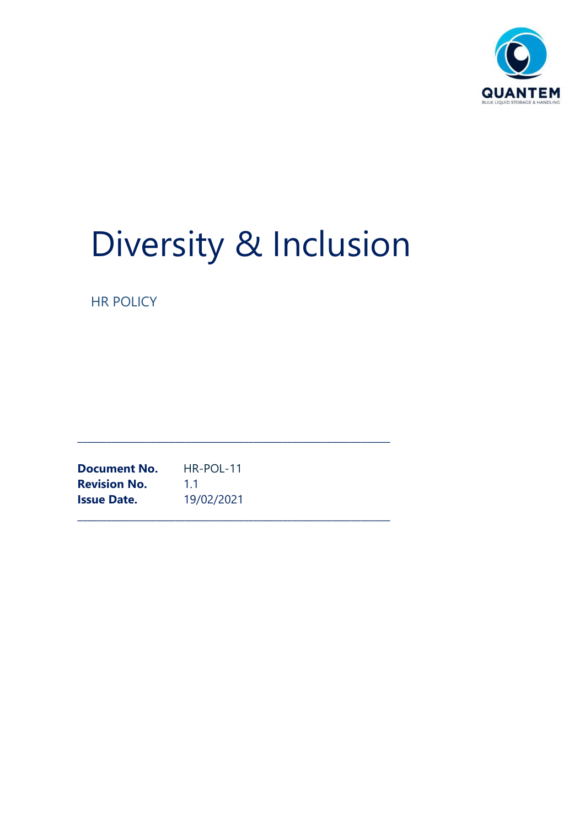

# Diversity & Inclusion

\_\_\_\_\_\_\_\_\_\_\_\_\_\_\_\_\_\_\_\_\_\_\_\_\_\_\_\_\_\_\_\_\_\_\_\_\_\_\_\_\_\_\_\_\_\_\_\_\_\_\_\_\_\_\_\_\_\_\_\_\_\_\_\_

HR POLICY

\_\_\_\_\_\_\_\_\_\_\_\_\_\_\_\_\_\_\_\_\_\_\_\_\_\_\_\_\_\_\_\_\_\_\_\_\_\_\_\_\_\_\_\_\_\_\_\_\_\_\_\_\_\_\_\_\_\_\_\_\_\_\_\_ Document No. HR-POL-11 **Revision No.** 1.1 Issue Date. 19/02/2021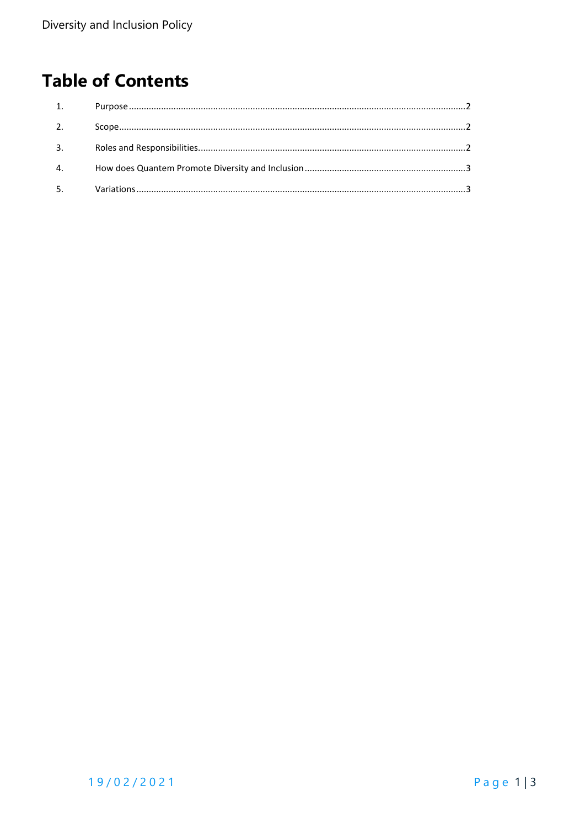## **Table of Contents**

| 1. |  |
|----|--|
| 2. |  |
| 3. |  |
| 4. |  |
| 5. |  |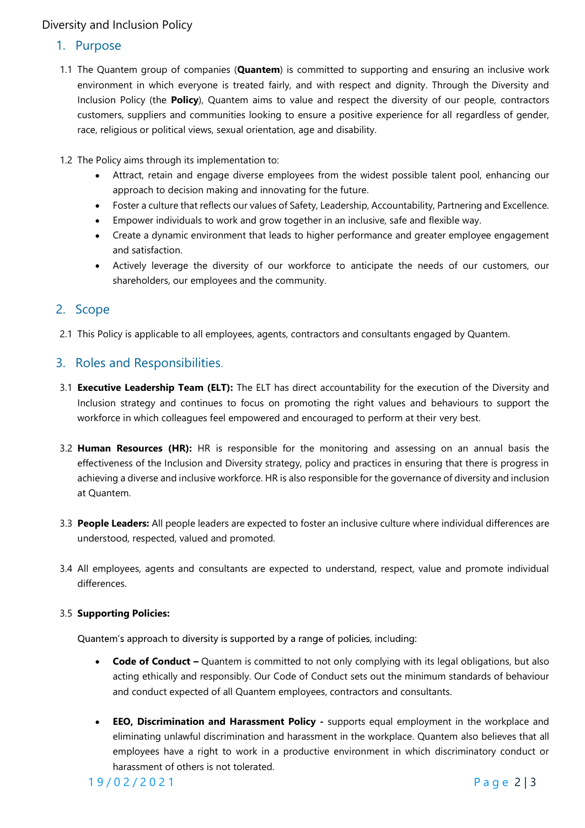#### Diversity and Inclusion Policy

#### 1. Purpose

- 1.1 The Quantem group of companies (**Quantem**) is committed to supporting and ensuring an inclusive work environment in which everyone is treated fairly, and with respect and dignity. Through the Diversity and Inclusion Policy (the Policy), Quantem aims to value and respect the diversity of our people, contractors customers, suppliers and communities looking to ensure a positive experience for all regardless of gender, race, religious or political views, sexual orientation, age and disability.
- 1.2 The Policy aims through its implementation to:
	- Attract, retain and engage diverse employees from the widest possible talent pool, enhancing our approach to decision making and innovating for the future.
	- Foster a culture that reflects our values of Safety, Leadership, Accountability, Partnering and Excellence.
	- Empower individuals to work and grow together in an inclusive, safe and flexible way.
	- Create a dynamic environment that leads to higher performance and greater employee engagement and satisfaction.
	- Actively leverage the diversity of our workforce to anticipate the needs of our customers, our shareholders, our employees and the community.

#### 2. Scope

2.1 This Policy is applicable to all employees, agents, contractors and consultants engaged by Quantem.

#### 3. Roles and Responsibilities.

- 3.1 Executive Leadership Team (ELT): The ELT has direct accountability for the execution of the Diversity and Inclusion strategy and continues to focus on promoting the right values and behaviours to support the workforce in which colleagues feel empowered and encouraged to perform at their very best.
- 3.2 Human Resources (HR): HR is responsible for the monitoring and assessing on an annual basis the effectiveness of the Inclusion and Diversity strategy, policy and practices in ensuring that there is progress in achieving a diverse and inclusive workforce. HR is also responsible for the governance of diversity and inclusion at Quantem.
- 3.3 People Leaders: All people leaders are expected to foster an inclusive culture where individual differences are understood, respected, valued and promoted.
- 3.4 All employees, agents and consultants are expected to understand, respect, value and promote individual differences.

#### 3.5 Supporting Policies:

- Code of Conduct Quantem is committed to not only complying with its legal obligations, but also acting ethically and responsibly. Our Code of Conduct sets out the minimum standards of behaviour and conduct expected of all Quantem employees, contractors and consultants.
- **Example Solution** and promoted to looker an inclusion center winder included university of electrod, respected valued and promote in the members of the employees, agents and consultants are expected to understand, respect • EEO, Discrimination and Harassment Policy - supports equal employment in the workplace and eliminating unlawful discrimination and harassment in the workplace. Quantem also believes that all employees have a right to work in a productive environment in which discriminatory conduct or harassment of others is not tolerated.